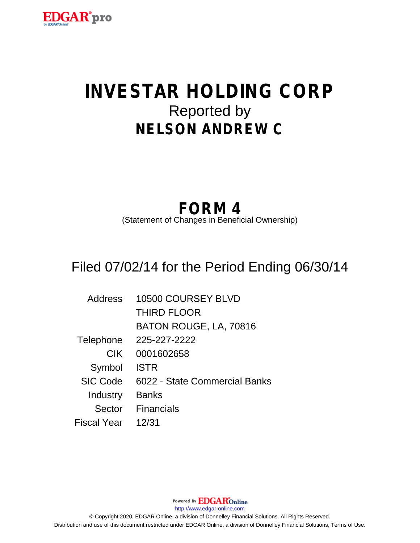

# **INVESTAR HOLDING CORP** Reported by **NELSON ANDREW C**

## **FORM 4**

(Statement of Changes in Beneficial Ownership)

## Filed 07/02/14 for the Period Ending 06/30/14

| <b>Address</b>  | 10500 COURSEY BLVD            |
|-----------------|-------------------------------|
|                 | <b>THIRD FLOOR</b>            |
|                 | BATON ROUGE, LA, 70816        |
| Telephone       | 225-227-2222                  |
| <b>CIK</b>      | 0001602658                    |
| Symbol          | <b>ISTR</b>                   |
| <b>SIC Code</b> | 6022 - State Commercial Banks |
| Industry        | <b>Banks</b>                  |
| Sector          | <b>Financials</b>             |
| Fiscal Year     | 12/31                         |

Powered By **EDGAR**Online http://www.edgar-online.com © Copyright 2020, EDGAR Online, a division of Donnelley Financial Solutions. All Rights Reserved. Distribution and use of this document restricted under EDGAR Online, a division of Donnelley Financial Solutions, Terms of Use.